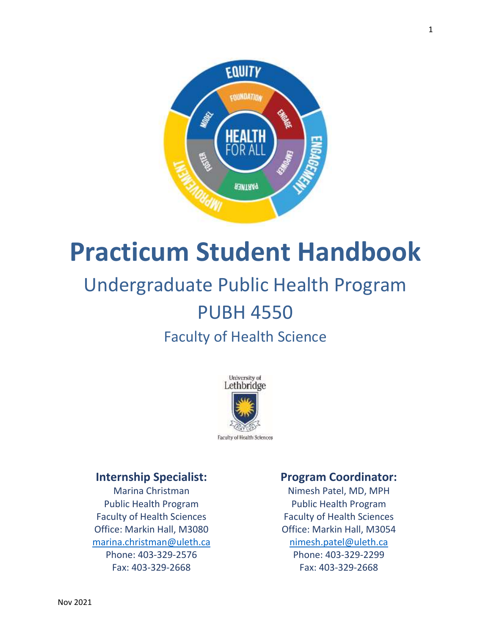

# **Practicum Student Handbook**

## Undergraduate Public Health Program PUBH 4550

### Faculty of Health Science



### **Internship Specialist:**

Marina Christman Public Health Program Faculty of Health Sciences Office: Markin Hall, M3080 [marina.christman@uleth.ca](mailto:marina.christman@uleth.ca) Phone: 403-329-2576 Fax: 403-329-2668

### **Program Coordinator:**

Nimesh Patel, MD, MPH Public Health Program Faculty of Health Sciences Office: Markin Hall, M3054 [nimesh.patel@uleth.ca](mailto:nimesh.patel@uleth.ca) Phone: 403-329-2299 Fax: 403-329-2668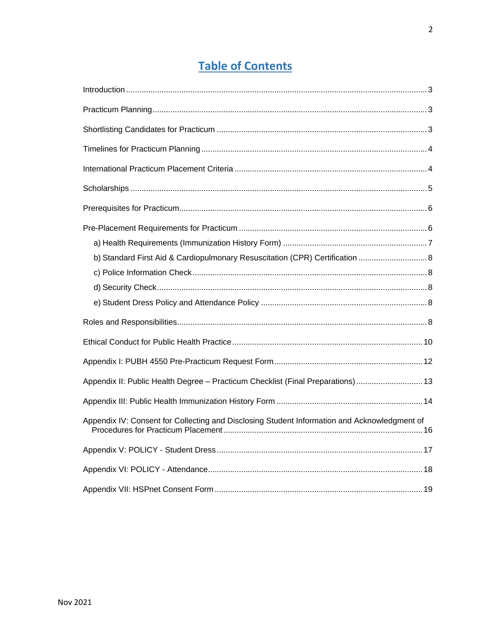### **Table of Contents**

| b) Standard First Aid & Cardiopulmonary Resuscitation (CPR) Certification  8                 |  |
|----------------------------------------------------------------------------------------------|--|
|                                                                                              |  |
|                                                                                              |  |
|                                                                                              |  |
|                                                                                              |  |
|                                                                                              |  |
|                                                                                              |  |
| Appendix II: Public Health Degree - Practicum Checklist (Final Preparations)  13             |  |
|                                                                                              |  |
| Appendix IV: Consent for Collecting and Disclosing Student Information and Acknowledgment of |  |
|                                                                                              |  |
|                                                                                              |  |
|                                                                                              |  |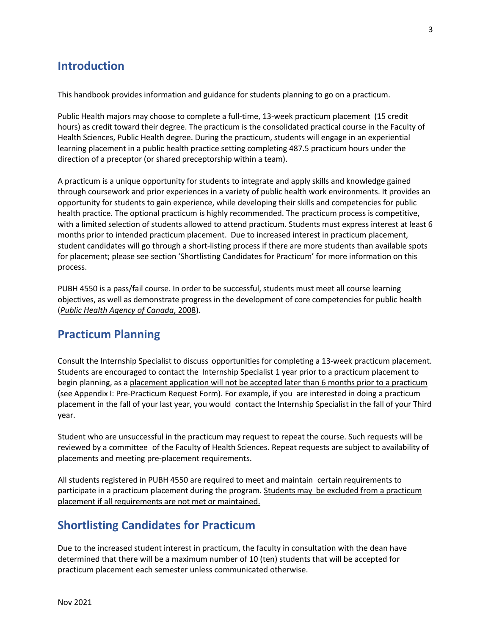### **Introduction**

This handbook provides information and guidance for students planning to go on a practicum.

Public Health majors may choose to complete a full-time, 13-week practicum placement (15 credit hours) as credit toward their degree. The practicum is the consolidated practical course in the Faculty of Health Sciences, Public Health degree. During the practicum, students will engage in an experiential learning placement in a public health practice setting completing 487.5 practicum hours under the direction of a preceptor (or shared preceptorship within a team).

A practicum is a unique opportunity for students to integrate and apply skills and knowledge gained through coursework and prior experiences in a variety of public health work environments. It provides an opportunity for students to gain experience, while developing their skills and competencies for public health practice. The optional practicum is highly recommended. The practicum process is competitive, with a limited selection of students allowed to attend practicum. Students must express interest at least 6 months prior to intended practicum placement. Due to increased interest in practicum placement, student candidates will go through a short-listing process if there are more students than available spots for placement; please see section 'Shortlisting Candidates for Practicum' for more information on this process.

PUBH 4550 is a pass/fail course. In order to be successful, students must meet all course learning objectives, as well as demonstrate progress in the development of core competencies for public health (*[Public Health Agency of Canada](http://www.phac-aspc.gc.ca/php-psp/ccph-cesp/pdfs/cc-manual-eng090407.pdf)*, 2008).

### **Practicum Planning**

Consult the Internship Specialist to discuss opportunities for completing a 13-week practicum placement. Students are encouraged to contact the Internship Specialist 1 year prior to a practicum placement to begin planning, as a placement application will not be accepted later than 6 months prior to a practicum (see Appendix I: Pre-Practicum Request Form). For example, if you are interested in doing a practicum placement in the fall of your last year, you would contact the Internship Specialist in the fall of your Third year.

Student who are unsuccessful in the practicum may request to repeat the course. Such requests will be reviewed by a committee of the Faculty of Health Sciences. Repeat requests are subject to availability of placements and meeting pre-placement requirements.

All students registered in PUBH 4550 are required to meet and maintain certain requirements to participate in a practicum placement during the program. Students may be excluded from a practicum placement if all requirements are not met or maintained.

### **Shortlisting Candidates for Practicum**

Due to the increased student interest in practicum, the faculty in consultation with the dean have determined that there will be a maximum number of 10 (ten) students that will be accepted for practicum placement each semester unless communicated otherwise.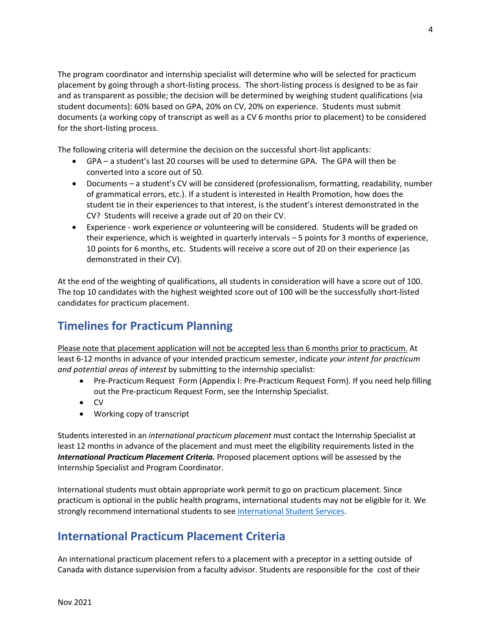The program coordinator and internship specialist will determine who will be selected for practicum placement by going through a short-listing process. The short-listing process is designed to be as fair and as transparent as possible; the decision will be determined by weighing student qualifications (via student documents): 60% based on GPA, 20% on CV, 20% on experience. Students must submit documents (a working copy of transcript as well as a CV 6 months prior to placement) to be considered for the short-listing process.

The following criteria will determine the decision on the successful short-list applicants:

- GPA a student's last 20 courses will be used to determine GPA. The GPA will then be converted into a score out of 50.
- Documents a student's CV will be considered (professionalism, formatting, readability, number of grammatical errors, etc.). If a student is interested in Health Promotion, how does the student tie in their experiences to that interest, is the student's interest demonstrated in the CV? Students will receive a grade out of 20 on their CV.
- Experience work experience or volunteering will be considered. Students will be graded on their experience, which is weighted in quarterly intervals – 5 points for 3 months of experience, 10 points for 6 months, etc. Students will receive a score out of 20 on their experience (as demonstrated in their CV).

At the end of the weighting of qualifications, all students in consideration will have a score out of 100. The top 10 candidates with the highest weighted score out of 100 will be the successfully short-listed candidates for practicum placement.

### **Timelines for Practicum Planning**

Please note that placement application will not be accepted less than 6 months prior to practicum. At least 6-12 months in advance of your intended practicum semester, indicate *your intent for practicum and potential areas of interest* by submitting to the internship specialist:

- Pre-Practicum Request Form (Appendix I: Pre-Practicum Request Form). If you need help filling out the Pre-practicum Request Form, see the Internship Specialist.
- CV
- Working copy of transcript

Students interested in an *international practicum placement* must contact the Internship Specialist at least 12 months in advance of the placement and must meet the eligibility requirements listed in the *International Practicum Placement Criteria.* Proposed placement options will be assessed by the Internship Specialist and Program Coordinator.

International students must obtain appropriate work permit to go on practicum placement. Since practicum is optional in the public health programs, international students may not be eligible for it. We strongly recommend international students to see [International Student Services.](https://www.uleth.ca/international/content/international-student-services)

### **International Practicum Placement Criteria**

An international practicum placement refers to a placement with a preceptor in a setting outside of Canada with distance supervision from a faculty advisor. Students are responsible for the cost of their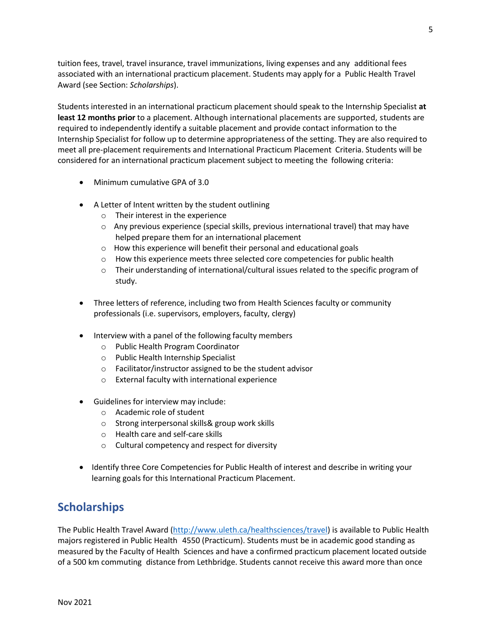tuition fees, travel, travel insurance, travel immunizations, living expenses and any additional fees associated with an international practicum placement. Students may apply for a Public Health Travel Award (see Section: *Scholarships*).

Students interested in an international practicum placement should speak to the Internship Specialist **at least 12 months prior** to a placement. Although international placements are supported, students are required to independently identify a suitable placement and provide contact information to the Internship Specialist for follow up to determine appropriateness of the setting. They are also required to meet all pre-placement requirements and International Practicum Placement Criteria. Students will be considered for an international practicum placement subject to meeting the following criteria:

- Minimum cumulative GPA of 3.0
- A Letter of Intent written by the student outlining
	- o Their interest in the experience
	- $\circ$  Any previous experience (special skills, previous international travel) that may have helped prepare them for an international placement
	- o How this experience will benefit their personal and educational goals
	- o How this experience meets three selected core competencies for public health
	- $\circ$  Their understanding of international/cultural issues related to the specific program of study.
- Three letters of reference, including two from Health Sciences faculty or community professionals (i.e. supervisors, employers, faculty, clergy)
- Interview with a panel of the following faculty members
	- o Public Health Program Coordinator
	- o Public Health Internship Specialist
	- o Facilitator/instructor assigned to be the student advisor
	- o External faculty with international experience
- Guidelines for interview may include:
	- o Academic role of student
	- o Strong interpersonal skills& group work skills
	- o Health care and self-care skills
	- o Cultural competency and respect for diversity
- Identify three Core Competencies for Public Health of interest and describe in writing your learning goals for this International Practicum Placement.

### **Scholarships**

The Public Health Travel Award [\(http://www.uleth.ca/healthsciences/travel\)](http://www.uleth.ca/healthsciences/travel) is available to Public Health majors registered in Public Health 4550 (Practicum). Students must be in academic good standing as measured by the Faculty of Health Sciences and have a confirmed practicum placement located outside of a 500 km commuting distance from Lethbridge. Students cannot receive this award more than once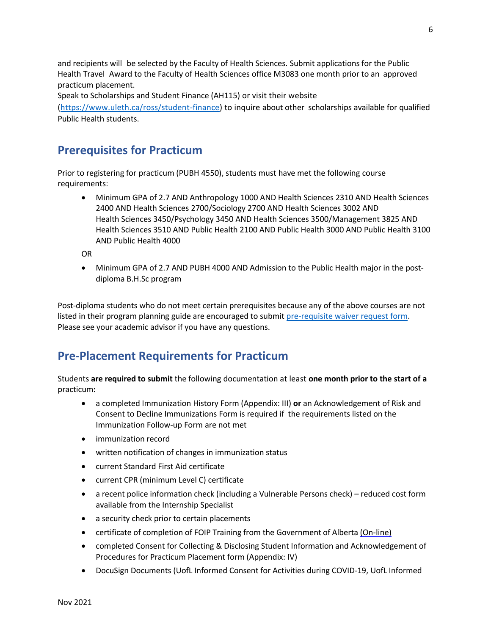and recipients will be selected by the Faculty of Health Sciences. Submit applications for the Public Health Travel Award to the Faculty of Health Sciences office M3083 one month prior to an approved practicum placement.

Speak to Scholarships and Student Finance (AH115) or visit their website

[\(https://www.uleth.ca/ross/student-finance\)](https://www.uleth.ca/ross/student-finance) to inquire about other scholarships available for qualified Public Health students.

### **Prerequisites for Practicum**

Prior to registering for practicum (PUBH 4550), students must have met the following course requirements:

• Minimum GPA of 2.7 AND Anthropology 1000 AND Health Sciences 2310 AND Health Sciences 2400 AND Health Sciences 2700/Sociology 2700 AND Health Sciences 3002 AND Health Sciences 3450/Psychology 3450 AND Health Sciences 3500/Management 3825 AND Health Sciences 3510 AND Public Health 2100 AND Public Health 3000 AND Public Health 3100 AND Public Health 4000

OR

• Minimum GPA of 2.7 AND PUBH 4000 AND Admission to the Public Health major in the postdiploma B.H.Sc program

Post-diploma students who do not meet certain prerequisites because any of the above courses are not listed in their program planning guide are encouraged to submit [pre-requisite waiver request form.](https://www.uleth.ca/healthsciences/waiver) Please see your academic advisor if you have any questions.

### **Pre-Placement Requirements for Practicum**

Students **are required to submit** the following documentation at least **one month prior to the start of a** practicum**:**

- a completed Immunization History Form (Appendix: III) **or** an Acknowledgement of Risk and Consent to Decline Immunizations Form is required if the requirements listed on the Immunization Follow-up Form are not met
- immunization record
- written notification of changes in immunization status
- current Standard First Aid certificate
- current CPR (minimum Level C) certificate
- a recent police information check (including a Vulnerable Persons check) reduced cost form available from the Internship Specialist
- a security check prior to certain placements
- certificate of completion of FOIP Training from the Government of Alberta [\(On-line\)](http://www.servicealberta.ca/foip/training/online-training.cfm)
- completed Consent for Collecting & Disclosing Student Information and Acknowledgement of Procedures for Practicum Placement form (Appendix: IV)
- DocuSign Documents (UofL Informed Consent for Activities during COVID-19, UofL Informed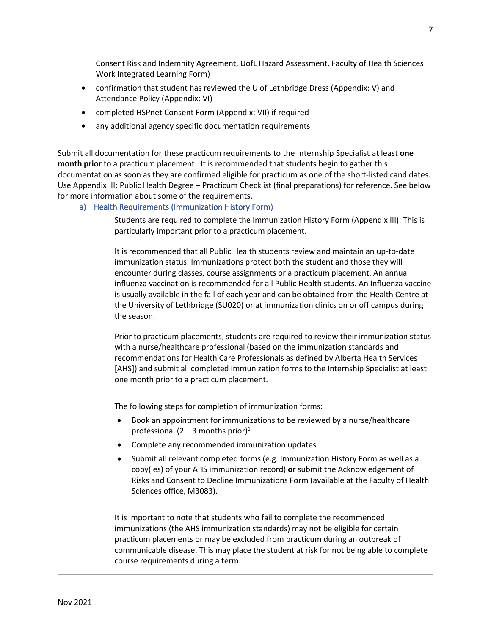Consent Risk and Indemnity Agreement, UofL Hazard Assessment, Faculty of Health Sciences Work Integrated Learning Form)

- confirmation that student has reviewed the U of Lethbridge Dress (Appendix: V) and Attendance Policy (Appendix: VI)
- completed HSPnet Consent Form (Appendix: VII) if required
- any additional agency specific documentation requirements

Submit all documentation for these practicum requirements to the Internship Specialist at least **one month prior** to a practicum placement. It is recommended that students begin to gather this documentation as soon as they are confirmed eligible for practicum as one of the short-listed candidates. Use Appendix II: Public Health Degree – Practicum Checklist (final preparations) for reference. See below for more information about some of the requirements.

a) Health Requirements (Immunization History Form)

Students are required to complete the Immunization History Form (Appendix III). This is particularly important prior to a practicum placement.

It is recommended that all Public Health students review and maintain an up-to-date immunization status. Immunizations protect both the student and those they will encounter during classes, course assignments or a practicum placement. An annual influenza vaccination is recommended for all Public Health students. An Influenza vaccine is usually available in the fall of each year and can be obtained from the Health Centre at the University of Lethbridge (SU020) or at immunization clinics on or off campus during the season.

Prior to practicum placements, students are required to review their immunization status with a nurse/healthcare professional (based on the immunization standards and recommendations for Health Care Professionals as defined by Alberta Health Services [AHS]) and submit all completed immunization forms to the Internship Specialist at least one month prior to a practicum placement.

The following steps for completion of immunization forms:

- Book an appointment for immunizations to be reviewed by a nurse/healthcare professional (2 – 3 months prior)<sup>1</sup>
- Complete any recommended immunization updates
- Submit all relevant completed forms (e.g. Immunization History Form as well as a copy(ies) of your AHS immunization record) **or** submit the Acknowledgement of Risks and Consent to Decline Immunizations Form (available at the Faculty of Health Sciences office, M3083).

It is important to note that students who fail to complete the recommended immunizations (the AHS immunization standards) may not be eligible for certain practicum placements or may be excluded from practicum during an outbreak of communicable disease. This may place the student at risk for not being able to complete course requirements during a term.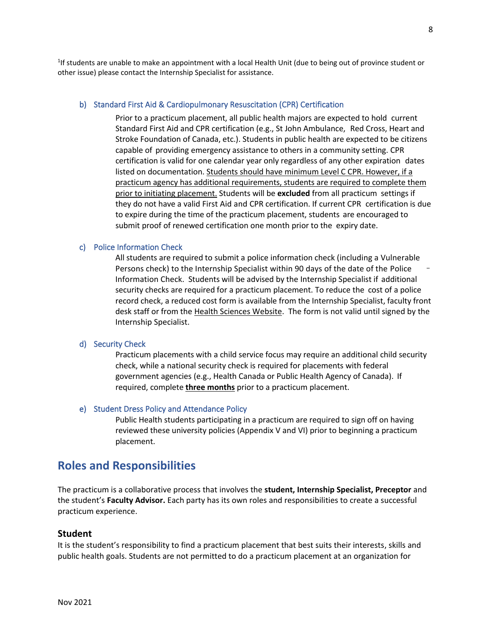<sup>1</sup>If students are unable to make an appointment with a local Health Unit (due to being out of province student or other issue) please contact the Internship Specialist for assistance.

#### b) Standard First Aid & Cardiopulmonary Resuscitation (CPR) Certification

Prior to a practicum placement, all public health majors are expected to hold current Standard First Aid and CPR certification (e.g., St John Ambulance, Red Cross, Heart and Stroke Foundation of Canada, etc.). Students in public health are expected to be citizens capable of providing emergency assistance to others in a community setting. CPR certification is valid for one calendar year only regardless of any other expiration dates listed on documentation. Students should have minimum Level C CPR. However, if a practicum agency has additional requirements, students are required to complete them prior to initiating placement. Students will be **excluded** from all practicum settings if they do not have a valid First Aid and CPR certification. If current CPR certification is due to expire during the time of the practicum placement, students are encouraged to submit proof of renewed certification one month prior to the expiry date.

#### c) Police Information Check

All students are required to submit a police information check (including a Vulnerable Persons check) to the Internship Specialist within 90 days of the date of the Police Information Check. Students will be advised by the Internship Specialist if additional security checks are required for a practicum placement. To reduce the cost of a police record check, a reduced cost form is available from the Internship Specialist, faculty front desk staff or from the [Health Sciences Website.](https://www.uleth.ca/healthsciences/police-information-check-form) The form is not valid until signed by the Internship Specialist.

#### d) Security Check

Practicum placements with a child service focus may require an additional child security check, while a national security check is required for placements with federal government agencies (e.g., Health Canada or Public Health Agency of Canada). If required, complete **three months** prior to a practicum placement.

#### e) Student Dress Policy and Attendance Policy

Public Health students participating in a practicum are required to sign off on having reviewed these university policies (Appendix V and VI) prior to beginning a practicum placement.

### **Roles and Responsibilities**

The practicum is a collaborative process that involves the **student, Internship Specialist, Preceptor** and the student's **Faculty Advisor.** Each party has its own roles and responsibilities to create a successful practicum experience.

#### **Student**

It is the student's responsibility to find a practicum placement that best suits their interests, skills and public health goals. Students are not permitted to do a practicum placement at an organization for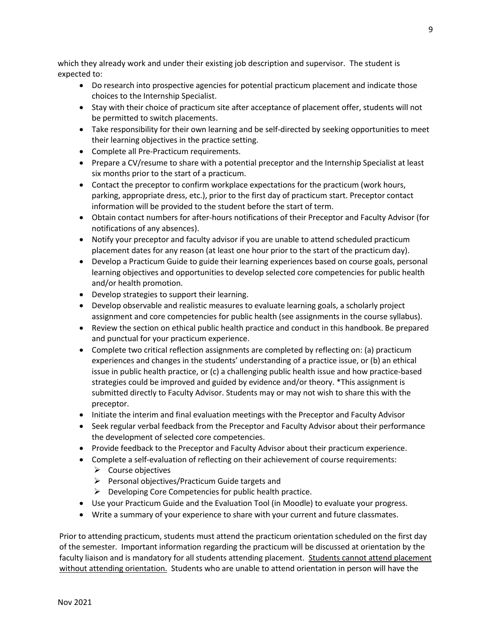which they already work and under their existing job description and supervisor. The student is expected to:

- Do research into prospective agencies for potential practicum placement and indicate those choices to the Internship Specialist.
- Stay with their choice of practicum site after acceptance of placement offer, students will not be permitted to switch placements.
- Take responsibility for their own learning and be self-directed by seeking opportunities to meet their learning objectives in the practice setting.
- Complete all Pre-Practicum requirements.
- Prepare a CV/resume to share with a potential preceptor and the Internship Specialist at least six months prior to the start of a practicum.
- Contact the preceptor to confirm workplace expectations for the practicum (work hours, parking, appropriate dress, etc.), prior to the first day of practicum start. Preceptor contact information will be provided to the student before the start of term.
- Obtain contact numbers for after-hours notifications of their Preceptor and Faculty Advisor (for notifications of any absences).
- Notify your preceptor and faculty advisor if you are unable to attend scheduled practicum placement dates for any reason (at least one hour prior to the start of the practicum day).
- Develop a Practicum Guide to guide their learning experiences based on course goals, personal learning objectives and opportunities to develop selected core competencies for public health and/or health promotion.
- Develop strategies to support their learning.
- Develop observable and realistic measures to evaluate learning goals, a scholarly project assignment and core competencies for public health (see assignments in the course syllabus).
- Review the section on ethical public health practice and conduct in this handbook. Be prepared and punctual for your practicum experience.
- Complete two critical reflection assignments are completed by reflecting on: (a) practicum experiences and changes in the students' understanding of a practice issue, or (b) an ethical issue in public health practice, or (c) a challenging public health issue and how practice-based strategies could be improved and guided by evidence and/or theory. \*This assignment is submitted directly to Faculty Advisor. Students may or may not wish to share this with the preceptor.
- Initiate the interim and final evaluation meetings with the Preceptor and Faculty Advisor
- Seek regular verbal feedback from the Preceptor and Faculty Advisor about their performance the development of selected core competencies.
- Provide feedback to the Preceptor and Faculty Advisor about their practicum experience.
- Complete a self-evaluation of reflecting on their achievement of course requirements:
	- $\triangleright$  Course objectives
	- ➢ Personal objectives/Practicum Guide targets and
	- $\triangleright$  Developing Core Competencies for public health practice.
- Use your Practicum Guide and the Evaluation Tool (in Moodle) to evaluate your progress.
- Write a summary of your experience to share with your current and future classmates.

Prior to attending practicum, students must attend the practicum orientation scheduled on the first day of the semester. Important information regarding the practicum will be discussed at orientation by the faculty liaison and is mandatory for all students attending placement. Students cannot attend placement without attending orientation. Students who are unable to attend orientation in person will have the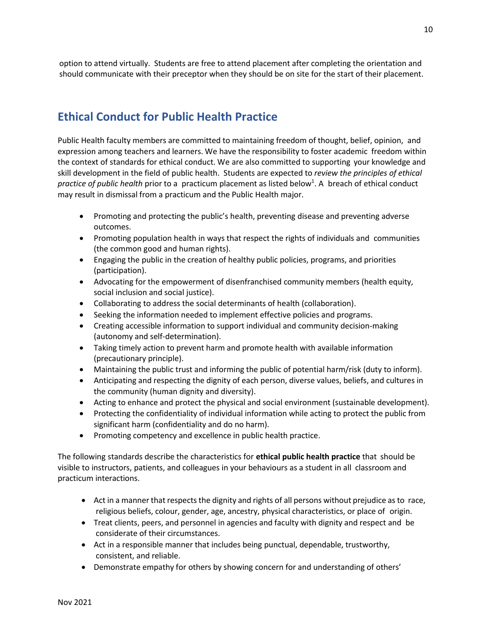option to attend virtually. Students are free to attend placement after completing the orientation and should communicate with their preceptor when they should be on site for the start of their placement.

### **Ethical Conduct for Public Health Practice**

Public Health faculty members are committed to maintaining freedom of thought, belief, opinion, and expression among teachers and learners. We have the responsibility to foster academic freedom within the context of standards for ethical conduct. We are also committed to supporting your knowledge and skill development in the field of public health. Students are expected to *review the principles of ethical* practice of public health prior to a practicum placement as listed below<sup>1</sup>. A breach of ethical conduct may result in dismissal from a practicum and the Public Health major.

- Promoting and protecting the public's health, preventing disease and preventing adverse outcomes.
- Promoting population health in ways that respect the rights of individuals and communities (the common good and human rights).
- Engaging the public in the creation of healthy public policies, programs, and priorities (participation).
- Advocating for the empowerment of disenfranchised community members (health equity, social inclusion and social justice).
- Collaborating to address the social determinants of health (collaboration).
- Seeking the information needed to implement effective policies and programs.
- Creating accessible information to support individual and community decision-making (autonomy and self-determination).
- Taking timely action to prevent harm and promote health with available information (precautionary principle).
- Maintaining the public trust and informing the public of potential harm/risk (duty to inform).
- Anticipating and respecting the dignity of each person, diverse values, beliefs, and cultures in the community (human dignity and diversity).
- Acting to enhance and protect the physical and social environment (sustainable development).
- Protecting the confidentiality of individual information while acting to protect the public from significant harm (confidentiality and do no harm).
- Promoting competency and excellence in public health practice.

The following standards describe the characteristics for **ethical public health practice** that should be visible to instructors, patients, and colleagues in your behaviours as a student in all classroom and practicum interactions.

- Act in a manner that respects the dignity and rights of all persons without prejudice as to race, religious beliefs, colour, gender, age, ancestry, physical characteristics, or place of origin.
- Treat clients, peers, and personnel in agencies and faculty with dignity and respect and be considerate of their circumstances.
- Act in a responsible manner that includes being punctual, dependable, trustworthy, consistent, and reliable.
- Demonstrate empathy for others by showing concern for and understanding of others'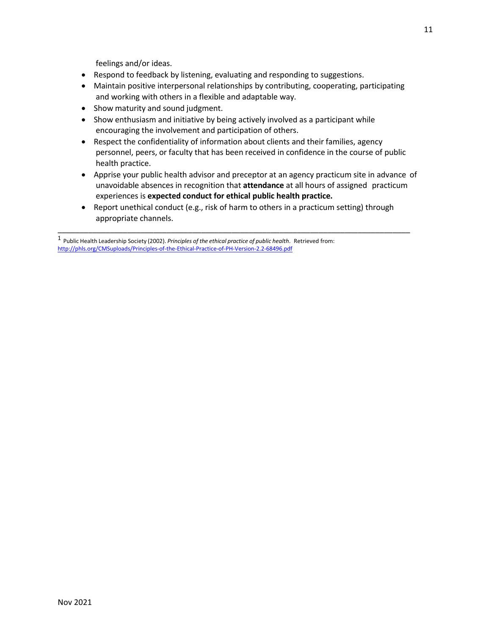feelings and/or ideas.

- Respond to feedback by listening, evaluating and responding to suggestions.
- Maintain positive interpersonal relationships by contributing, cooperating, participating and working with others in a flexible and adaptable way.
- Show maturity and sound judgment.
- Show enthusiasm and initiative by being actively involved as a participant while encouraging the involvement and participation of others.
- Respect the confidentiality of information about clients and their families, agency personnel, peers, or faculty that has been received in confidence in the course of public health practice.
- Apprise your public health advisor and preceptor at an agency practicum site in advance of unavoidable absences in recognition that **attendance** at all hours of assigned practicum experiences is **expected conduct for ethical public health practice.**
- Report unethical conduct (e.g., risk of harm to others in a practicum setting) through appropriate channels.

\_\_\_\_\_\_\_\_\_\_\_\_\_\_\_\_\_\_\_\_\_\_\_\_\_\_\_\_\_\_\_\_\_\_\_\_\_\_\_\_\_\_\_\_\_\_\_\_\_\_\_\_\_\_\_\_\_\_\_\_\_\_\_\_\_\_\_\_\_\_\_\_\_\_\_\_\_\_\_\_\_

<sup>1</sup> Public Health Leadership Society (2002). *Principles of the ethical practice of public health*. Retrieved from: http://phls.org/CMSuploads/Principles-of-the-Ethical-Practice-of-PH-Version-2.2-68496.pdf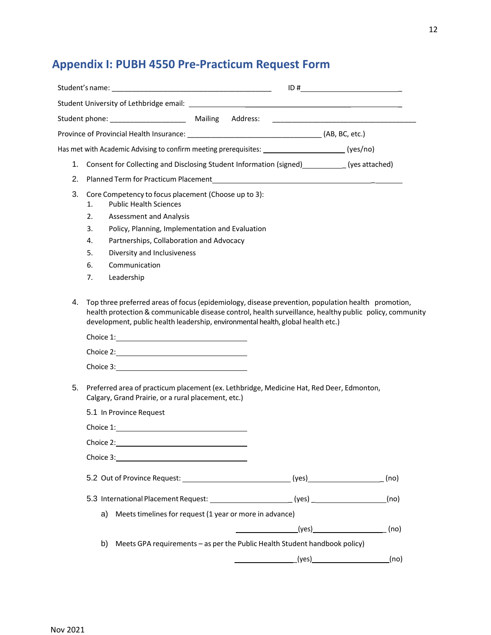## **Appendix I: PUBH 4550 Pre-Practicum Request Form**

|    | Student University of Lethbridge email: North American Communication of the Communication of the Communication                                                                                                                                                                                    |                       |      |
|----|---------------------------------------------------------------------------------------------------------------------------------------------------------------------------------------------------------------------------------------------------------------------------------------------------|-----------------------|------|
|    | Student phone: _____________________                                                                                                                                                                                                                                                              | Mailing Address:      |      |
|    |                                                                                                                                                                                                                                                                                                   |                       |      |
|    | Has met with Academic Advising to confirm meeting prerequisites: _____________________(yes/no)                                                                                                                                                                                                    |                       |      |
|    | 1. Consent for Collecting and Disclosing Student Information (signed) [98] (yes attached)                                                                                                                                                                                                         |                       |      |
| 2. |                                                                                                                                                                                                                                                                                                   |                       |      |
| 3. | Core Competency to focus placement (Choose up to 3):<br><b>Public Health Sciences</b><br>1.<br>2.<br><b>Assessment and Analysis</b><br>Policy, Planning, Implementation and Evaluation<br>3.                                                                                                      |                       |      |
|    | Partnerships, Collaboration and Advocacy<br>4.                                                                                                                                                                                                                                                    |                       |      |
|    | 5.<br>Diversity and Inclusiveness                                                                                                                                                                                                                                                                 |                       |      |
|    | 6.<br>Communication<br>7.<br>Leadership                                                                                                                                                                                                                                                           |                       |      |
|    |                                                                                                                                                                                                                                                                                                   |                       |      |
|    |                                                                                                                                                                                                                                                                                                   |                       |      |
| 4. | Top three preferred areas of focus (epidemiology, disease prevention, population health promotion,<br>health protection & communicable disease control, health surveillance, healthy public policy, community<br>development, public health leadership, environmental health, global health etc.) |                       |      |
|    |                                                                                                                                                                                                                                                                                                   |                       |      |
| 5. | Preferred area of practicum placement (ex. Lethbridge, Medicine Hat, Red Deer, Edmonton,<br>Calgary, Grand Prairie, or a rural placement, etc.)                                                                                                                                                   |                       |      |
|    | 5.1 In Province Request                                                                                                                                                                                                                                                                           |                       |      |
|    | Choice 1: <u>Choice 1: Expansion of the set of the set of the set of the set of the set of the set of the set of the set of the set of the set of the set of the set of the set of the set of the set of the set of the set of t</u>                                                              |                       |      |
|    |                                                                                                                                                                                                                                                                                                   |                       |      |
|    |                                                                                                                                                                                                                                                                                                   |                       |      |
|    | 5.2 Out of Province Request: __________________________________(yes)____________                                                                                                                                                                                                                  |                       | (no) |
|    | 5.3 International Placement Request: ___________________________(yes) __________                                                                                                                                                                                                                  |                       | (no) |
|    | a) Meets timelines for request (1 year or more in advance)                                                                                                                                                                                                                                        |                       |      |
|    |                                                                                                                                                                                                                                                                                                   | <u> Alban Maria (</u> |      |
|    | Meets GPA requirements - as per the Public Health Student handbook policy)<br>b)                                                                                                                                                                                                                  |                       |      |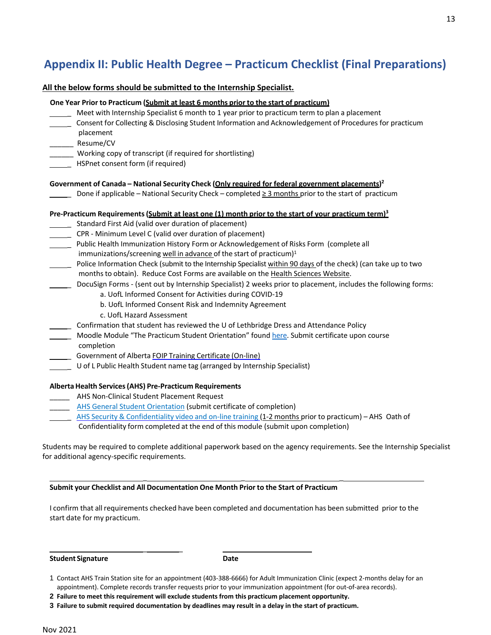### **Appendix II: Public Health Degree – Practicum Checklist (Final Preparations)**

**All the below forms should be submitted to the Internship Specialist.** 

|        | One Year Prior to Practicum (Submit at least 6 months prior to the start of practicum)                            |
|--------|-------------------------------------------------------------------------------------------------------------------|
|        | Meet with Internship Specialist 6 month to 1 year prior to practicum term to plan a placement                     |
|        | Consent for Collecting & Disclosing Student Information and Acknowledgement of Procedures for practicum           |
|        | placement                                                                                                         |
|        | ________ Resume/CV                                                                                                |
|        | Working copy of transcript (if required for shortlisting)                                                         |
|        | HSPnet consent form (if required)                                                                                 |
|        | Government of Canada - National Security Check (Only required for federal government placements) <sup>2</sup>     |
|        | Done if applicable - National Security Check - completed $\geq$ 3 months prior to the start of practicum          |
|        | Pre-Practicum Requirements (Submit at least one (1) month prior to the start of your practicum term) <sup>3</sup> |
|        | Standard First Aid (valid over duration of placement)                                                             |
|        | CPR - Minimum Level C (valid over duration of placement)                                                          |
| $\sim$ | Public Health Immunization History Form or Acknowledgement of Risks Form (complete all                            |
|        | immunizations/screening well in advance of the start of practicum) <sup>1</sup>                                   |
|        | Police Information Check (submit to the Internship Specialist within 90 days of the check) (can take up to two    |
|        | months to obtain). Reduce Cost Forms are available on the Health Sciences Website.                                |
|        | DocuSign Forms - (sent out by Internship Specialist) 2 weeks prior to placement, includes the following forms:    |
|        | a. UofL Informed Consent for Activities during COVID-19                                                           |
|        | b. UofL Informed Consent Risk and Indemnity Agreement                                                             |
|        | c. UofL Hazard Assessment                                                                                         |
|        | Confirmation that student has reviewed the U of Lethbridge Dress and Attendance Policy                            |
|        | Moodle Module "The Practicum Student Orientation" found here. Submit certificate upon course<br>completion        |
|        | Government of Alberta FOIP Training Certificate (On-line)                                                         |
|        | U of L Public Health Student name tag (arranged by Internship Specialist)                                         |
|        | Alberta Health Services (AHS) Pre-Practicum Requirements                                                          |
|        | AHS Non-Clinical Student Placement Request                                                                        |
|        | AHS General Student Orientation (submit certificate of completion)                                                |
|        | AHS Security & Confidentiality video and on-line training (1-2 months prior to practicum) - AHS Oath of           |
|        |                                                                                                                   |

Confidentiality form completed at the end of this module (submit upon completion)

Students may be required to complete additional paperwork based on the agency requirements. See the Internship Specialist for additional agency-specific requirements.

\_ \_ \_

**Submit your Checklist and All Documentation One Month Prior to the Start of Practicum**

\_ \_

I confirm that all requirements checked have been completed and documentation has been submitted prior to the start date for my practicum.

**Student Signature Date**

13

<sup>1</sup> Contact AHS Train Station site for an appointment (403-388-6666) for Adult Immunization Clinic (expect 2-months delay for an appointment). Complete records transfer requests prior to your immunization appointment (for out-of-area records).

**<sup>2</sup> Failure to meet this requirement will exclude students from this practicum placement opportunity.**

**<sup>3</sup> Failure to submit required documentation by deadlines may result in a delay in the start of practicum.**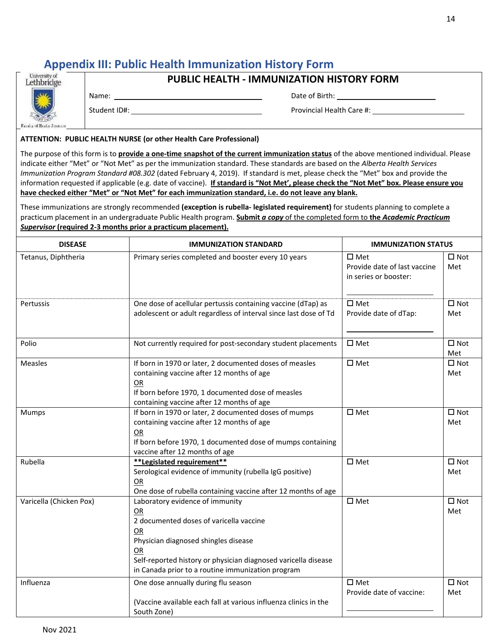### **Appendix III: Public Health Immunization History Form**

**PUBLIC HEALTH - IMMUNIZATION HISTORY FORM**

Name: Date of Birth:

Student ID#: Notified a state of the extension of the Provincial Health Care #:

#### **ATTENTION: PUBLIC HEALTH NURSE (or other Health Care Professional)**

The purpose of this form is to **provide a one-time snapshot of the current immunization status** of the above mentioned individual. Please indicate either "Met" or "Not Met" as per the immunization standard. These standards are based on the *Alberta Health Services Immunization Program Standard #08.302* (dated February 4, 2019). If standard is met, please check the "Met" box and provide the information requested if applicable (e.g. date of vaccine). **If standard is "Not Met', please check the "Not Met" box. Please ensure you have checked either "Met" or "Not Met" for each immunization standard, i.e. do not leave any blank.** 

These immunizations are strongly recommended **(exception is rubella- legislated requirement)** for students planning to complete a practicum placement in an undergraduate Public Health program. **Submit** *a copy* of the completed form to **the** *Academic Practicum Supervisor* **(required 2-3 months prior a practicum placement).**

| <b>DISEASE</b>          | <b>IMMUNIZATION STANDARD</b>                                                                                                                                                                                                                                | <b>IMMUNIZATION STATUS</b>                                             |                      |
|-------------------------|-------------------------------------------------------------------------------------------------------------------------------------------------------------------------------------------------------------------------------------------------------------|------------------------------------------------------------------------|----------------------|
| Tetanus, Diphtheria     | Primary series completed and booster every 10 years                                                                                                                                                                                                         | $\square$ Met<br>Provide date of last vaccine<br>in series or booster: | $\Box$ Not<br>Met    |
| Pertussis               | One dose of acellular pertussis containing vaccine (dTap) as<br>adolescent or adult regardless of interval since last dose of Td                                                                                                                            | $\square$ Met<br>Provide date of dTap:                                 | $\square$ Not<br>Met |
| Polio                   | Not currently required for post-secondary student placements                                                                                                                                                                                                | $\square$ Met                                                          | $\square$ Not<br>Met |
| <b>Measles</b>          | If born in 1970 or later, 2 documented doses of measles<br>containing vaccine after 12 months of age<br>OR<br>If born before 1970, 1 documented dose of measles<br>containing vaccine after 12 months of age                                                | $\square$ Met                                                          | $\square$ Not<br>Met |
| Mumps                   | If born in 1970 or later, 2 documented doses of mumps<br>containing vaccine after 12 months of age<br>OR<br>If born before 1970, 1 documented dose of mumps containing<br>vaccine after 12 months of age                                                    | $\square$ Met                                                          | $\square$ Not<br>Met |
| Rubella                 | **Legislated requirement**<br>Serological evidence of immunity (rubella IgG positive)<br>OR<br>One dose of rubella containing vaccine after 12 months of age                                                                                                | $\square$ Met                                                          | $\square$ Not<br>Met |
| Varicella (Chicken Pox) | Laboratory evidence of immunity<br>OR<br>2 documented doses of varicella vaccine<br>OR<br>Physician diagnosed shingles disease<br>OR<br>Self-reported history or physician diagnosed varicella disease<br>in Canada prior to a routine immunization program | $\square$ Met                                                          | $\square$ Not<br>Met |
| Influenza               | One dose annually during flu season<br>(Vaccine available each fall at various influenza clinics in the<br>South Zone)                                                                                                                                      | $\square$ Met<br>Provide date of vaccine:                              | $\square$ Not<br>Met |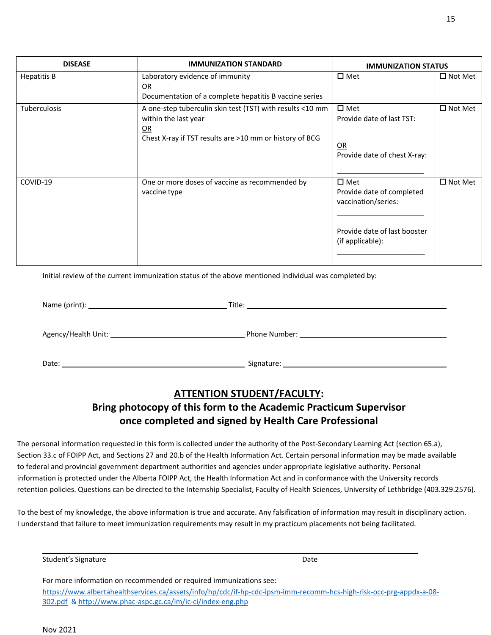Initial review of the current immunization status of the above mentioned individual was completed by:

|                     | Title:        |
|---------------------|---------------|
| Agency/Health Unit: | Phone Number: |
| Date:               | Signature:    |

### **ATTENTION STUDENT/FACULTY:**

### **Bring photocopy of this form to the Academic Practicum Supervisor once completed and signed by Health Care Professional**

The personal information requested in this form is collected under the authority of the Post-Secondary Learning Act (section 65.a), Section 33.c of FOIPP Act, and Sections 27 and 20.b of the Health Information Act. Certain personal information may be made available to federal and provincial government department authorities and agencies under appropriate legislative authority. Personal information is protected under the Alberta FOIPP Act, the Health Information Act and in conformance with the University records retention policies. Questions can be directed to the Internship Specialist, Faculty of Health Sciences, University of Lethbridge (403.329.2576).

To the best of my knowledge, the above information is true and accurate. Any falsification of information may result in disciplinary action. I understand that failure to meet immunization requirements may result in my practicum placements not being facilitated.

\_\_\_\_\_\_\_\_\_\_\_\_\_\_\_\_\_\_\_\_\_\_\_\_\_\_\_\_\_\_\_\_\_\_\_\_\_\_\_\_\_\_\_\_\_\_\_\_\_\_\_\_\_\_\_\_\_\_\_\_\_\_\_\_\_\_\_\_\_\_\_\_\_\_\_\_\_\_\_\_\_\_\_\_\_\_\_\_\_\_\_\_\_\_

Student's Signature Date Date Communications and Date Date

For more information on recommended or required immunizations see: [https://www.albertahealthservices.ca/assets/info/hp/cdc/if-hp-cdc-ipsm-imm-recomm-hcs-high-risk-occ-prg-appdx-a-08-](https://www.albertahealthservices.ca/assets/info/hp/cdc/if-hp-cdc-ipsm-imm-recomm-hcs-high-risk-occ-prg-appdx-a-08-302.pdf) [302.pdf](https://www.albertahealthservices.ca/assets/info/hp/cdc/if-hp-cdc-ipsm-imm-recomm-hcs-high-risk-occ-prg-appdx-a-08-302.pdf) &<http://www.phac-aspc.gc.ca/im/ic-ci/index-eng.php>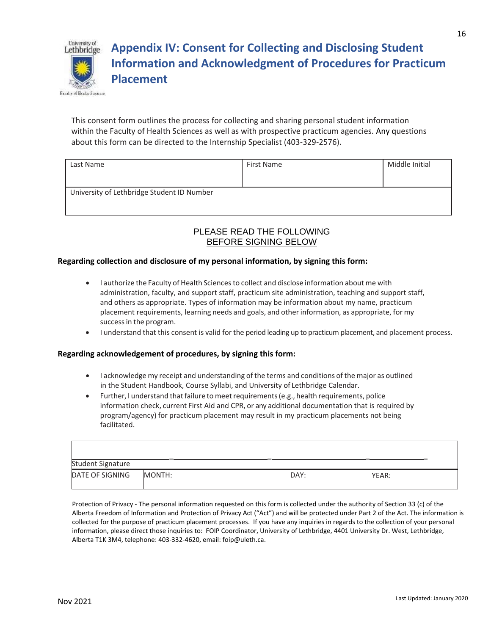

**Appendix IV: Consent for Collecting and Disclosing Student Information and Acknowledgment of Procedures for Practicum Placement**

This consent form outlines the process for collecting and sharing personal student information within the Faculty of Health Sciences as well as with prospective practicum agencies. Any questions about this form can be directed to the Internship Specialist (403-329-2576).

| Last Name                                  | First Name | Middle Initial |
|--------------------------------------------|------------|----------------|
| University of Lethbridge Student ID Number |            |                |

### PLEASE READ THE FOLLOWING BEFORE SIGNING BELOW

#### **Regarding collection and disclosure of my personal information, by signing this form:**

- I authorize the Faculty of Health Sciences to collect and disclose information about me with administration, faculty, and support staff, practicum site administration, teaching and support staff, and others as appropriate. Types of information may be information about my name, practicum placement requirements, learning needs and goals, and other information, as appropriate, for my successin the program.
- I understand that this consent is valid for the period leading up to practicum placement, and placement process.

#### **Regarding acknowledgement of procedures, by signing this form:**

- I acknowledge my receipt and understanding of the terms and conditions of the major as outlined in the Student Handbook, Course Syllabi, and University of Lethbridge Calendar.
- Further, I understand that failure to meet requirements (e.g., health requirements, police information check, current First Aid and CPR, or any additional documentation that is required by program/agency) for practicum placement may result in my practicum placements not being facilitated.

| <b>Student Signature</b> |        |      |       |  |
|--------------------------|--------|------|-------|--|
| DATE OF SIGNING          | MONTH: | DAY: | YEAR: |  |

Protection of Privacy - The personal information requested on this form is collected under the authority of Section 33 (c) of the Alberta Freedom of Information and Protection of Privacy Act ("Act") and will be protected under Part 2 of the Act. The information is collected for the purpose of practicum placement processes. If you have any inquiries in regards to the collection of your personal information, please direct those inquiries to: FOIP Coordinator, University of Lethbridge, 4401 University Dr. West, Lethbridge, Alberta T1K 3M4, telephone: 403-332-4620, email: foip@uleth.ca.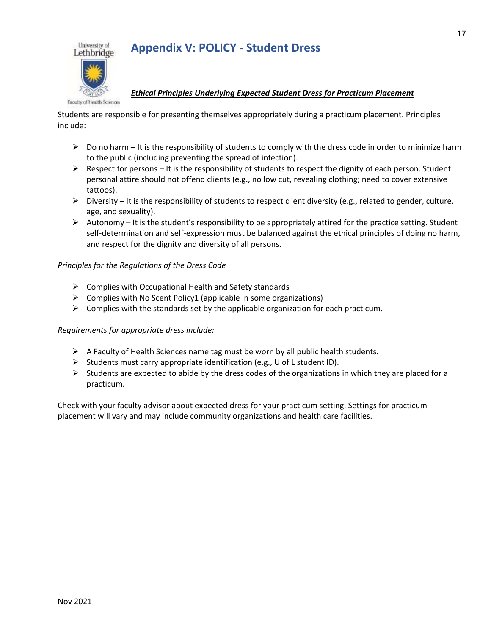



#### *Ethical Principles Underlying Expected Student Dress for Practicum Placement*

Students are responsible for presenting themselves appropriately during a practicum placement. Principles include:

- $\triangleright$  Do no harm It is the responsibility of students to comply with the dress code in order to minimize harm to the public (including preventing the spread of infection).
- $\triangleright$  Respect for persons It is the responsibility of students to respect the dignity of each person. Student personal attire should not offend clients (e.g., no low cut, revealing clothing; need to cover extensive tattoos).
- $\triangleright$  Diversity It is the responsibility of students to respect client diversity (e.g., related to gender, culture, age, and sexuality).
- $\triangleright$  Autonomy It is the student's responsibility to be appropriately attired for the practice setting. Student self-determination and self-expression must be balanced against the ethical principles of doing no harm, and respect for the dignity and diversity of all persons.

### *Principles for the Regulations of the Dress Code*

- $\triangleright$  Complies with Occupational Health and Safety standards
- $\triangleright$  Complies with No Scent Policy1 (applicable in some organizations)
- $\triangleright$  Complies with the standards set by the applicable organization for each practicum.

#### *Requirements for appropriate dress include:*

- $\triangleright$  A Faculty of Health Sciences name tag must be worn by all public health students.
- ➢ Students must carry appropriate identification (e.g., U of L student ID).
- $\triangleright$  Students are expected to abide by the dress codes of the organizations in which they are placed for a practicum.

Check with your faculty advisor about expected dress for your practicum setting. Settings for practicum placement will vary and may include community organizations and health care facilities.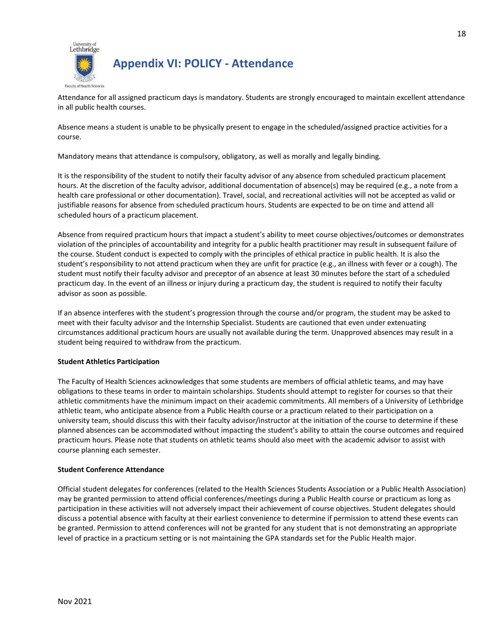

### **Appendix VI: POLICY - Attendance**

Attendance for all assigned practicum days is mandatory. Students are strongly encouraged to maintain excellent attendance in all public health courses.

Absence means a student is unable to be physically present to engage in the scheduled/assigned practice activities for a course.

Mandatory means that attendance is compulsory, obligatory, as well as morally and legally binding.

It is the responsibility of the student to notify their faculty advisor of any absence from scheduled practicum placement hours. At the discretion of the faculty advisor, additional documentation of absence(s) may be required (e.g., a note from a health care professional or other documentation). Travel, social, and recreational activities will not be accepted as valid or justifiable reasons for absence from scheduled practicum hours. Students are expected to be on time and attend all scheduled hours of a practicum placement.

Absence from required practicum hours that impact a student's ability to meet course objectives/outcomes or demonstrates violation of the principles of accountability and integrity for a public health practitioner may result in subsequent failure of the course. Student conduct is expected to comply with the principles of ethical practice in public health. It is also the student's responsibility to not attend practicum when they are unfit for practice (e.g., an illness with fever or a cough). The student must notify their faculty advisor and preceptor of an absence at least 30 minutes before the start of a scheduled practicum day. In the event of an illness or injury during a practicum day, the student is required to notify their faculty advisor as soon as possible.

If an absence interferes with the student's progression through the course and/or program, the student may be asked to meet with their faculty advisor and the Internship Specialist. Students are cautioned that even under extenuating circumstances additional practicum hours are usually not available during the term. Unapproved absences may result in a student being required to withdraw from the practicum.

#### **Student Athletics Participation**

The Faculty of Health Sciences acknowledges that some students are members of official athletic teams, and may have obligations to these teams in order to maintain scholarships. Students should attempt to register for courses so that their athletic commitments have the minimum impact on their academic commitments. All members of a University of Lethbridge athletic team, who anticipate absence from a Public Health course or a practicum related to their participation on a university team, should discuss this with their faculty advisor/instructor at the initiation of the course to determine if these planned absences can be accommodated without impacting the student's ability to attain the course outcomes and required practicum hours. Please note that students on athletic teams should also meet with the academic advisor to assist with course planning each semester.

#### **Student Conference Attendance**

Official student delegates for conferences (related to the Health Sciences Students Association or a Public Health Association) may be granted permission to attend official conferences/meetings during a Public Health course or practicum as long as participation in these activities will not adversely impact their achievement of course objectives. Student delegates should discuss a potential absence with faculty at their earliest convenience to determine if permission to attend these events can be granted. Permission to attend conferences will not be granted for any student that is not demonstrating an appropriate level of practice in a practicum setting or is not maintaining the GPA standards set for the Public Health major.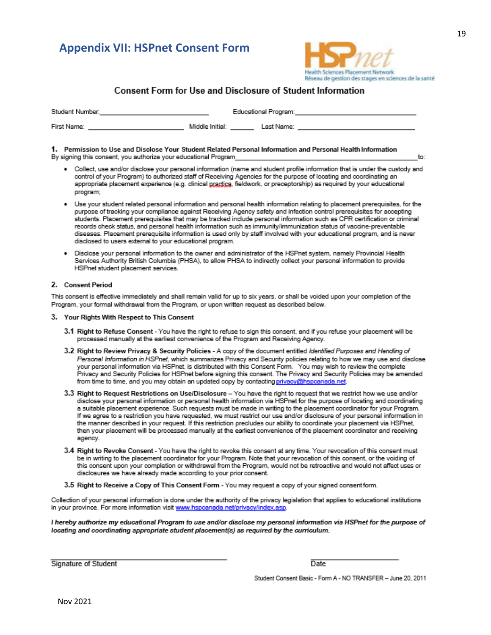### **Appendix VII: HSPnet Consent Form**



#### **Consent Form for Use and Disclosure of Student Information**

| Student Number: |                 | Educational Program: |  |
|-----------------|-----------------|----------------------|--|
| First Name:     | Middle Initial: | Last Name:           |  |

#### 1. Permission to Use and Disclose Your Student Related Personal Information and Personal Health Information By signing this consent, you authorize your educational Program

- Collect, use and/or disclose your personal information (name and student profile information that is under the custody and control of your Program) to authorized staff of Receiving Agencies for the purpose of locating and coordinating an appropriate placement experience (e.g. clinical practica, fieldwork, or preceptorship) as required by your educational program;
- Use your student related personal information and personal health information relating to placement prerequisites, for the purpose of tracking your compliance against Receiving Agency safety and infection control prerequisites for accepting students. Placement prerequisites that may be tracked include personal information such as CPR certification or criminal records check status, and personal health information such as immunity/immunization status of vaccine-preventable diseases. Placement prerequisite information is used only by staff involved with your educational program, and is never disclosed to users external to your educational program.
- Disclose your personal information to the owner and administrator of the HSPnet system, namely Provincial Health Services Authority British Columbia (PHSA), to allow PHSA to indirectly collect your personal information to provide HSPnet student placement services.

#### 2. Consent Period

This consent is effective immediately and shall remain valid for up to six years, or shall be voided upon your completion of the Program, your formal withdrawal from the Program, or upon written request as described below.

- 3. Your Rights With Respect to This Consent
	- 3.1 Right to Refuse Consent You have the right to refuse to sign this consent, and if you refuse your placement will be processed manually at the earliest convenience of the Program and Receiving Agency.
	- 3.2 Right to Review Privacy & Security Policies A copy of the document entitled Identified Purposes and Handling of Personal Information in HSPnet, which summarizes Privacy and Security policies relating to how we may use and disclose your personal information via HSPnet, is distributed with this Consent Form. You may wish to review the complete Privacy and Security Policies for HSPnet before signing this consent. The Privacy and Security Policies may be amended from time to time, and you may obtain an updated copy by contacting privacy@hspcanada.net.
	- 3.3 Right to Request Restrictions on Use/Disclosure You have the right to request that we restrict how we use and/or disclose your personal information or personal health information via HSPnet for the purpose of locating and coordinating a suitable placement experience. Such requests must be made in writing to the placement coordinator for your Program. If we agree to a restriction you have requested, we must restrict our use and/or disclosure of your personal information in the manner described in your request. If this restriction precludes our ability to coordinate your placement via HSPnet, then your placement will be processed manually at the earliest convenience of the placement coordinator and receiving agency.
	- 3.4 Right to Revoke Consent You have the right to revoke this consent at any time. Your revocation of this consent must be in writing to the placement coordinator for your Program. Note that your revocation of this consent, or the voiding of this consent upon your completion or withdrawal from the Program, would not be retroactive and would not affect uses or disclosures we have already made according to your prior consent.
	- 3.5 Right to Receive a Copy of This Consent Form You may request a copy of your signed consent form.

Collection of your personal information is done under the authority of the privacy legislation that applies to educational institutions in your province. For more information visit www.hspcanada.net/privacy/index.asp.

I hereby authorize my educational Program to use and/or disclose my personal information via HSPnet for the purpose of locating and coordinating appropriate student placement(s) as required by the curriculum.

Signature of Student

Date

Student Consent Basic - Form A - NO TRANSFER - June 20, 2011

to: